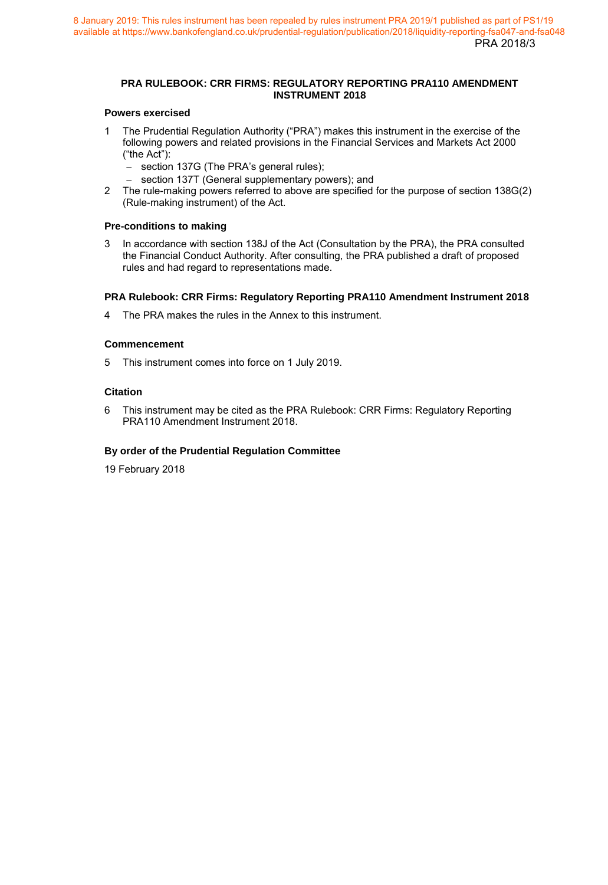## **PRA RULEBOOK: CRR FIRMS: REGULATORY REPORTING PRA110 AMENDMENT INSTRUMENT 2018**

## **Powers exercised**

- 1 The Prudential Regulation Authority ("PRA") makes this instrument in the exercise of the following powers and related provisions in the Financial Services and Markets Act 2000 ("the Act"):
	- section 137G (The PRA's general rules);
	- section 137T (General supplementary powers); and
- 2 The rule-making powers referred to above are specified for the purpose of section 138G(2) (Rule-making instrument) of the Act.

#### **Pre-conditions to making**

3 In accordance with section 138J of the Act (Consultation by the PRA), the PRA consulted the Financial Conduct Authority. After consulting, the PRA published a draft of proposed rules and had regard to representations made.

#### **PRA Rulebook: CRR Firms: Regulatory Reporting PRA110 Amendment Instrument 2018**

4 The PRA makes the rules in the Annex to this instrument.

#### **Commencement**

5 This instrument comes into force on 1 July 2019.

#### **Citation**

6 This instrument may be cited as the PRA Rulebook: CRR Firms: Regulatory Reporting PRA110 Amendment Instrument 2018.

## **By order of the Prudential Regulation Committee**

19 February 2018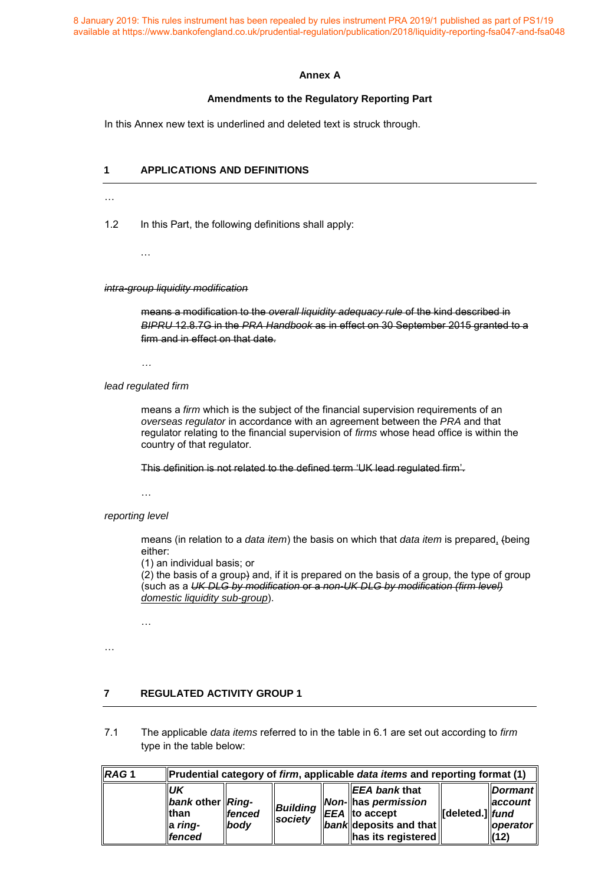#### **Annex A**

#### **Amendments to the Regulatory Reporting Part**

In this Annex new text is underlined and deleted text is struck through.

## **1 APPLICATIONS AND DEFINITIONS**

…

1.2 In this Part, the following definitions shall apply:

…

*intra-group liquidity modification* 

means a modification to the *overall liquidity adequacy rule* of the kind described in *BIPRU* 12.8.7G in the *PRA Handbook* as in effect on 30 September 2015 granted to a firm and in effect on that date.

*…*

*lead regulated firm* 

means a *firm* which is the subject of the financial supervision requirements of an *overseas regulator* in accordance with an agreement between the *PRA* and that regulator relating to the financial supervision of *firms* whose head office is within the country of that regulator.

This definition is not related to the defined term 'UK lead regulated firm'.

…

*reporting level* 

means (in relation to a *data item*) the basis on which that *data item* is prepared, (being either:

(1) an individual basis; or

(2) the basis of a group) and, if it is prepared on the basis of a group, the type of group (such as a *UK DLG by modification* or a *non-UK DLG by modification (firm level) domestic liquidity sub-group*).

…

…

# **7 REGULATED ACTIVITY GROUP 1**

7.1 The applicable *data items* referred to in the table in 6.1 are set out according to *firm* type in the table below:

| RAG <sub>1</sub> | Prudential category of firm, applicable data items and reporting format (1) |                            |                     |  |                                                                                                                                                     |                          |                                                                               |
|------------------|-----------------------------------------------------------------------------|----------------------------|---------------------|--|-----------------------------------------------------------------------------------------------------------------------------------------------------|--------------------------|-------------------------------------------------------------------------------|
|                  | <b>UK</b><br>bank other Ring-<br>llthan<br>la ring-<br><b>Ifenced</b>       | <b>Ifenced</b><br>$I$ body | Building<br>society |  | ll <i>EEA bank</i> that<br><b>Non-</b> has permission<br>$\parallel$ EEA $\parallel$ to accept<br>$\ $ bank deposits and that<br>has its registered | <b>I</b> deleted.]  fund | <b>Dormant</b><br>$\parallel$ account $\parallel$<br><b>loperator</b><br>(12) |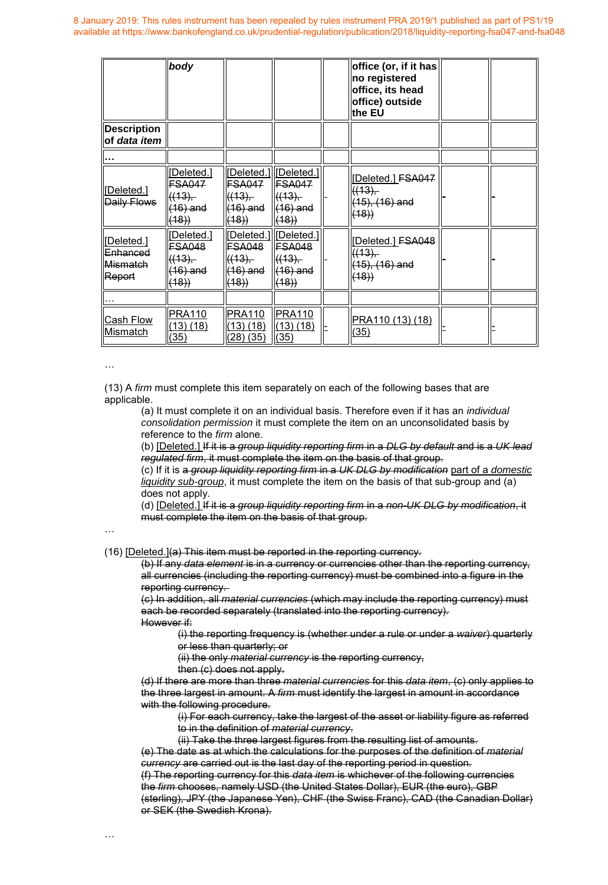|                                                         | body                                                        |                                                                           |                                               | office (or, if it has<br>no registered<br>office, its head<br>office) outside<br>the EU |  |
|---------------------------------------------------------|-------------------------------------------------------------|---------------------------------------------------------------------------|-----------------------------------------------|-----------------------------------------------------------------------------------------|--|
| <b>Description</b><br>of data item                      |                                                             |                                                                           |                                               |                                                                                         |  |
|                                                         |                                                             |                                                                           |                                               |                                                                                         |  |
| [Deleted.]<br>Daily Flows                               | [Deleted.]<br><b>FSA047</b><br>((13),<br>$(16)$ and<br>(18) | [Deleted.] Deleted.]<br><b>FSA047</b><br>((13),<br>(16) and<br>(18)       | <b>FSA047</b><br>((13),<br>$(16)$ and<br>(18) | [Deleted.] FSA047<br>((13),<br>$(15), (16)$ and<br>(18)                                 |  |
| [Deleted.]<br><del>Enhanced</del><br>Mismatch<br>Report | [Deleted.]<br>FSA048<br>((13),<br>$(16)$ and<br>(18)        | Deleted.]  Deleted.]<br>FSA048<br><del>((13),</del><br>$(16)$ and<br>(18) | FSA048<br>((13),<br>$(16)$ and<br>(18)        | [Deleted.] FSA048<br>((13),<br>$(15), (16)$ and<br>(18)                                 |  |
|                                                         |                                                             |                                                                           |                                               |                                                                                         |  |
| Cash Flow<br>Mismatch                                   | <b>PRA110</b><br>(13)(18)<br>(35)                           | <b>PRA110</b><br>(13) (18)<br>(28)(35)                                    | PRA110<br>(13)(18)<br>(35)                    | PRA110 (13) (18)<br>(35)                                                                |  |

…

(13) A *firm* must complete this item separately on each of the following bases that are applicable.

(a) It must complete it on an individual basis. Therefore even if it has an *individual consolidation permission* it must complete the item on an unconsolidated basis by reference to the *firm* alone.

(b) [Deleted.] If it is a *group liquidity reporting firm* in a *DLG by default* and is a *UK lead regulated firm*, it must complete the item on the basis of that group.

(c) If it is a *group liquidity reporting firm* in a *UK DLG by modification* part of a *domestic liquidity sub-group*, it must complete the item on the basis of that sub-group and (a) does not apply.

(d) [Deleted.] If it is a *group liquidity reporting firm* in a *non-UK DLG by modification*, it must complete the item on the basis of that group.

…

(16) [Deleted.](a) This item must be reported in the reporting currency.

(b) If any *data element* is in a currency or currencies other than the reporting currency, all currencies (including the reporting currency) must be combined into a figure in the reporting currency.

(c) In addition, all *material currencies* (which may include the reporting currency) must each be recorded separately (translated into the reporting currency). However if:

(i) the reporting frequency is (whether under a rule or under a *waiver*) quarterly or less than quarterly; or

(ii) the only *material currency* is the reporting currency,

then (c) does not apply.

(d) If there are more than three *material currencies* for this *data item*, (c) only applies to the three largest in amount. A *firm* must identify the largest in amount in accordance with the following procedure.

(i) For each currency, take the largest of the asset or liability figure as referred to in the definition of *material currency*.

(ii) Take the three largest figures from the resulting list of amounts.

(e) The date as at which the calculations for the purposes of the definition of *material currency* are carried out is the last day of the reporting period in question. (f) The reporting currency for this *data item* is whichever of the following currencies the *firm* chooses, namely USD (the United States Dollar), EUR (the euro), GBP (sterling), JPY (the Japanese Yen), CHF (the Swiss Franc), CAD (the Canadian Dollar) or SEK (the Swedish Krona).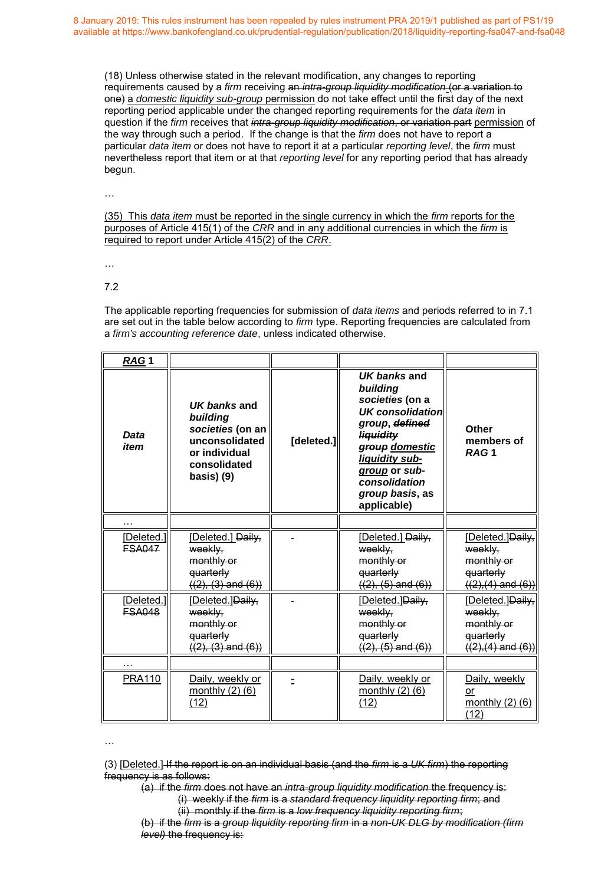(18) Unless otherwise stated in the relevant modification, any changes to reporting requirements caused by a *firm* receiving an *intra-group liquidity modification* (or a variation to one) a *domestic liquidity sub-group* permission do not take effect until the first day of the next reporting period applicable under the changed reporting requirements for the *data item* in question if the *firm* receives that *intra-group liquidity modification*, or variation part permission of the way through such a period. If the change is that the *[firm](http://www.prarulebook.co.uk/rulebook/Glossary/FullDefinition/52114/01-01-2019)* does not have to report a particular *[data item](http://www.prarulebook.co.uk/rulebook/Glossary/FullDefinition/67064/01-01-2019)* or does not have to report it at a particular *[reporting level](http://www.prarulebook.co.uk/rulebook/Glossary/FullDefinition/67090/01-01-2019)*, the *[firm](http://www.prarulebook.co.uk/rulebook/Glossary/FullDefinition/52114/01-01-2019)* must nevertheless report that item or at that *[reporting level](http://www.prarulebook.co.uk/rulebook/Glossary/FullDefinition/67090/01-01-2019)* for any reporting period that has already begun.

…

(35) This *data item* must be reported in the single currency in which the *firm* reports for the purposes of Article 415(1) of the *CRR* and in any additional currencies in which the *firm* is required to report under Article 415(2) of the *CRR*.

…

7.2

The applicable reporting frequencies for submission of *data items* and periods referred to in 7.1 are set out in the table below according to *firm* type. Reporting frequencies are calculated from a *firm's accounting reference date*, unless indicated otherwise.

| RAG1                        |                                                                                                               |            |                                                                                                                                                                                                                      |                                                                                 |
|-----------------------------|---------------------------------------------------------------------------------------------------------------|------------|----------------------------------------------------------------------------------------------------------------------------------------------------------------------------------------------------------------------|---------------------------------------------------------------------------------|
| <b>Data</b><br>item         | UK banks and<br>building<br>societies (on an<br>unconsolidated<br>or individual<br>consolidated<br>basis) (9) | [deleted.] | UK banks and<br>building<br>societies (on a<br><b>UK consolidation</b><br>group, defined<br><b>liquidity</b><br>group domestic<br>liquidity sub-<br>group or sub-<br>consolidation<br>group basis, as<br>applicable) | Other<br>members of<br>RAG <sub>1</sub>                                         |
|                             |                                                                                                               |            |                                                                                                                                                                                                                      |                                                                                 |
| [Deleted.]<br><b>FSA047</b> | [Deleted.] Daily,<br>weekly.<br>monthly or<br>quarterly<br>$((2), (3)$ and $(6))$                             |            | [Deleted.] Daily,<br>weekly.<br>monthly or<br>quarterly<br>$((2), (5)$ and $(6))$                                                                                                                                    | [Deleted.]Daily,<br>weekly.<br>monthly or<br>quarterly<br>$((2),(4)$ and $(6))$ |
| [Deleted.]<br><b>ESA048</b> | [Deleted.]Daily,<br>weekly,<br>monthly or<br>quarterly<br>$((2), (3)$ and $(6))$                              |            | [Deleted.]Daily,<br>weekly.<br>monthly or<br>quarterly<br>$((2), (5)$ and $(6))$                                                                                                                                     | [Deleted.]Daily,<br>weekly,<br>monthly or<br>quarterly<br>$((2),(4)$ and $(6))$ |
| .                           |                                                                                                               |            |                                                                                                                                                                                                                      |                                                                                 |
| <b>PRA110</b>               | Daily, weekly or<br>monthly $(2)$ $(6)$<br>(12)                                                               |            | Daily, weekly or<br>monthly $(2)$ $(6)$<br>(12)                                                                                                                                                                      | Daily, weekly<br>or<br>monthly $(2)$ $(6)$<br>(12)                              |

…

<sup>(3) [</sup>Deleted.] If the report is on an individual basis (and the *firm* is a *UK firm*) the reporting frequency is as follows:

<sup>(</sup>a) if the *firm* does not have an *intra-group liquidity modification* the frequency is: (i) weekly if the *firm* is a *standard frequency liquidity reporting firm*; and (ii) monthly if the *firm* is a *low frequency liquidity reporting firm*;

<sup>(</sup>b) if the *firm* is a *group liquidity reporting firm* in a *non-UK DLG by modification (firm level)* the frequency is: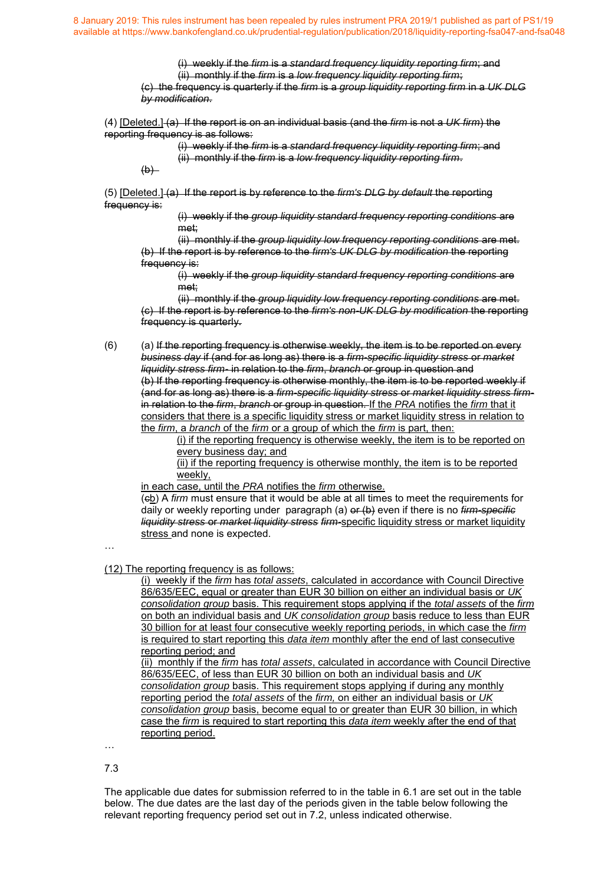> (i) weekly if the *firm* is a *standard frequency liquidity reporting firm*; and (ii) monthly if the *firm* is a *low frequency liquidity reporting firm*;

(c) the frequency is quarterly if the *firm* is a *group liquidity reporting firm* in a *UK DLG by modification*.

(4) [Deleted.] (a) If the report is on an individual basis (and the *firm* is not a *UK firm*) the reporting frequency is as follows:

(i) weekly if the *firm* is a *standard frequency liquidity reporting firm*; and (ii) monthly if the *firm* is a *low frequency liquidity reporting firm*.

 $(b)$ 

(5) [Deleted.] (a) If the report is by reference to the *firm's DLG by default* the reporting frequency is:

> (i) weekly if the *group liquidity standard frequency reporting conditions* are met;

(ii) monthly if the *group liquidity low frequency reporting conditions* are met. (b) If the report is by reference to the *firm's UK DLG by modification* the reporting frequency is:

(i) weekly if the *group liquidity standard frequency reporting conditions* are met;

(ii) monthly if the *group liquidity low frequency reporting conditions* are met. (c) If the report is by reference to the *firm's non-UK DLG by modification* the reporting frequency is quarterly.

(6) (a) If the reporting frequency is otherwise weekly, the item is to be reported on every *business day* if (and for as long as) there is a *firm-specific liquidity stress* or *market liquidity stress firm-* in relation to the *firm*, *branch* or group in question and (b) If the reporting frequency is otherwise monthly, the item is to be reported weekly if (and for as long as) there is a *firm-specific liquidity stress* or *market liquidity stress firm*in relation to the *firm*, *branch* or group in question. If the *PRA* notifies the *firm* that it considers that there is a specific liquidity stress or market liquidity stress in relation to the *firm*, a *branch* of the *firm* or a group of which the *firm* is part, then:

(i) if the reporting frequency is otherwise weekly, the item is to be reported on every business day; and

(ii) if the reporting frequency is otherwise monthly, the item is to be reported weekly,

in each case, until the *PRA* notifies the *firm* otherwise.

(cb) A *firm* must ensure that it would be able at all times to meet the requirements for daily or weekly reporting under paragraph (a) or (b) even if there is no *firm-specific liquidity stress* or *market liquidity stress firm-*specific liquidity stress or market liquidity stress and none is expected.

…

(12) The reporting frequency is as follows:

(i) weekly if the *firm* has *total assets*, calculated in accordance with Council Directive 86/635/EEC, equal or greater than EUR 30 billion on either an individual basis or *UK consolidation group* basis. This requirement stops applying if the *total assets* of the *firm*  on both an individual basis and *UK consolidation group* basis reduce to less than EUR 30 billion for at least four consecutive weekly reporting periods, in which case the *firm*  is required to start reporting this *data item* monthly after the end of last consecutive reporting period; and

(ii) monthly if the *firm* has *total assets*, calculated in accordance with Council Directive 86/635/EEC, of less than EUR 30 billion on both an individual basis and *UK consolidation group* basis. This requirement stops applying if during any monthly reporting period the *total assets* of the *firm,* on either an individual basis or *UK consolidation group* basis, become equal to or greater than EUR 30 billion, in which case the *firm* is required to start reporting this *data item* weekly after the end of that reporting period.

…

7.3

The applicable due dates for submission referred to in the table in [6.1](http://www.prarulebook.co.uk/rulebook/Content/Rule/302736/01-01-2019#302736) are set out in the table below. The due dates are the last day of the periods given in the table below following the relevant reporting frequency period set out in [7.2,](http://www.prarulebook.co.uk/rulebook/Content/Rule/302765/01-01-2019#302765) unless indicated otherwise.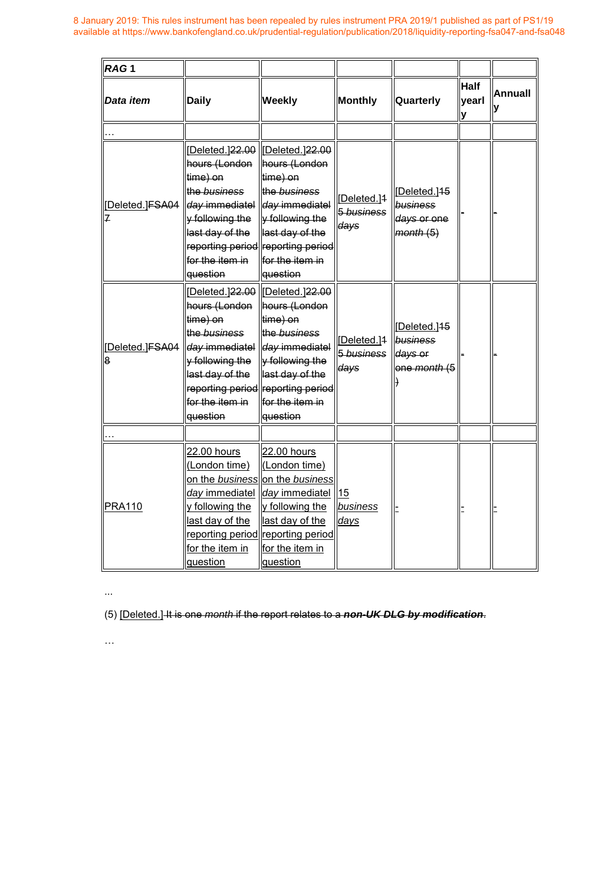| RAG <sub>1</sub>    |                                                                                                                                  |                                                                                                                                                                                                                                    |                                               |                                                                |                           |               |
|---------------------|----------------------------------------------------------------------------------------------------------------------------------|------------------------------------------------------------------------------------------------------------------------------------------------------------------------------------------------------------------------------------|-----------------------------------------------|----------------------------------------------------------------|---------------------------|---------------|
| Data item           | <b>Daily</b>                                                                                                                     | Weekly                                                                                                                                                                                                                             | <b>Monthly</b>                                | Quarterly                                                      | <b>Half</b><br>yearl<br>V | Annuall<br>lу |
|                     |                                                                                                                                  |                                                                                                                                                                                                                                    |                                               |                                                                |                           |               |
| [Deleted.]FSA04     | hours (London<br>time) on<br>the business<br>day immediatel<br>y following the<br>last day of the<br>for the item in<br>question | [Deleted.]22.00   Deleted.]22.00<br>hours (London<br>time) on<br>the business<br>day immediatel<br>y following the<br>last day of the<br>reporting period reporting period<br>for the item in<br>question                          | [Deleted.] <sup>1</sup><br>5 business<br>days | Deleted. <sup>145</sup><br>business<br>days or one<br>month(5) |                           |               |
| Deleted.]FSA04<br>8 | hours (London<br>time) on<br>the business<br>day immediatel<br>y following the<br>last day of the<br>for the item in<br>question | [Deleted.] <del>22.00</del>   [Deleted.] <del>22.00</del><br>hours (London<br>time) on<br>the business<br>day immediatel<br>y following the<br>last day of the<br>reporting period reporting period<br>for the item in<br>question | Deleted.]1<br>5 business<br>days              | Deleted. <sup>15</sup><br>business<br>days or<br>one month (5  |                           |               |
|                     |                                                                                                                                  |                                                                                                                                                                                                                                    |                                               |                                                                |                           |               |
| <b>PRA110</b>       | 22.00 hours<br>(London time)<br>day immediatel<br>y following the<br>last day of the<br>for the item in<br>question              | 22.00 hours<br>(London time)<br>on the business on the business<br>day immediatel<br>y following the<br>last day of the<br>reporting period reporting period<br>for the item in<br>question                                        | 15<br>business<br>days                        |                                                                |                           |               |

...

(5) [Deleted.] It is one *month* if the report relates to a *non-UK DLG by modification*.

 $\dots$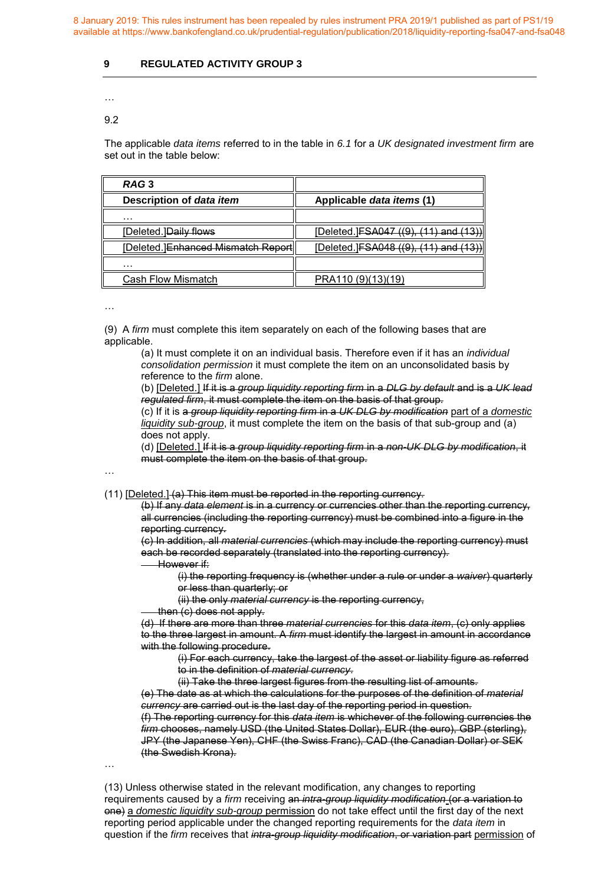# **9 REGULATED ACTIVITY GROUP 3**

# …

## 9.2

The applicable *data items* referred to in the table in *6.1* for a *UK designated investment firm* are set out in the table below:

| RAG <sub>3</sub>                   |                                        |
|------------------------------------|----------------------------------------|
| Description of data item           | Applicable data items (1)              |
| .                                  |                                        |
| [Deleted.] Daily flows             | [Deleted.] FSA047 ((9), (11) and (13)) |
| [Deleted.]Enhanced Mismatch Report | [Deleted.] FSA048 ((9), (11) and (13)) |
| .                                  |                                        |
| Cash Flow Mismatch                 | PRA110 (9)(13)(19)                     |

…

(9) A *firm* must complete this item separately on each of the following bases that are applicable.

(a) It must complete it on an individual basis. Therefore even if it has an *individual consolidation permission* it must complete the item on an unconsolidated basis by reference to the *firm* alone.

(b) [Deleted.] If it is a *group liquidity reporting firm* in a *DLG by default* and is a *UK lead regulated firm*, it must complete the item on the basis of that group.

(c) If it is a *group liquidity reporting firm* in a *UK DLG by modification* part of a *domestic liquidity sub-group*, it must complete the item on the basis of that sub-group and (a) does not apply.

(d) [Deleted.] If it is a *group liquidity reporting firm* in a *non-UK DLG by modification*, it must complete the item on the basis of that group.

# …

#### (11) [Deleted.] (a) This item must be reported in the reporting currency.

(b) If any *data element* is in a currency or currencies other than the reporting currency, all currencies (including the reporting currency) must be combined into a figure in the reporting currency.

(c) In addition, all *material currencies* (which may include the reporting currency) must each be recorded separately (translated into the reporting currency).

#### However if:

(i) the reporting frequency is (whether under a rule or under a *waiver*) quarterly or less than quarterly; or

(ii) the only *material currency* is the reporting currency,

then (c) does not apply.

(d) If there are more than three *material currencies* for this *data item*, (c) only applies to the three largest in amount. A *firm* must identify the largest in amount in accordance with the following procedure.

(i) For each currency, take the largest of the asset or liability figure as referred to in the definition of *material currency*.

(ii) Take the three largest figures from the resulting list of amounts.

(e) The date as at which the calculations for the purposes of the definition of *material currency* are carried out is the last day of the reporting period in question. (f) The reporting currency for this *data item* is whichever of the following currencies the *firm* chooses, namely USD (the United States Dollar), EUR (the euro), GBP (sterling),

JPY (the Japanese Yen), CHF (the Swiss Franc), CAD (the Canadian Dollar) or SEK (the Swedish Krona).

…

(13) Unless otherwise stated in the relevant modification, any changes to reporting requirements caused by a *firm* receiving an *intra-group liquidity modification* (or a variation to one) a *domestic liquidity sub-group* permission do not take effect until the first day of the next reporting period applicable under the changed reporting requirements for the *data item* in question if the *firm* receives that *intra-group liquidity modification*, or variation part permission of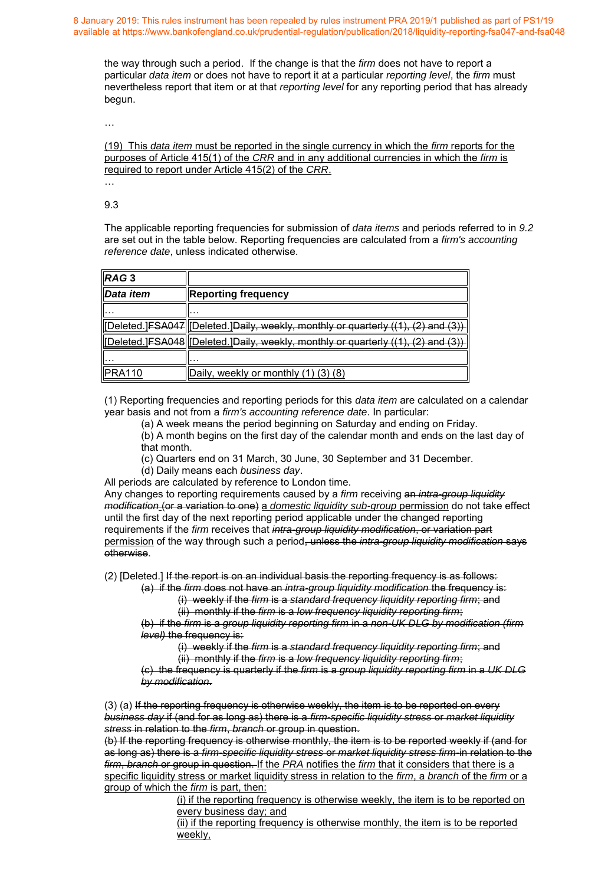the way through such a period. If the change is that the *[firm](http://www.prarulebook.co.uk/rulebook/Glossary/FullDefinition/52114/01-01-2019)* does not have to report a particular *[data item](http://www.prarulebook.co.uk/rulebook/Glossary/FullDefinition/67064/01-01-2019)* or does not have to report it at a particular *[reporting level](http://www.prarulebook.co.uk/rulebook/Glossary/FullDefinition/67090/01-01-2019)*, the *[firm](http://www.prarulebook.co.uk/rulebook/Glossary/FullDefinition/52114/01-01-2019)* must nevertheless report that item or at that *[reporting level](http://www.prarulebook.co.uk/rulebook/Glossary/FullDefinition/67090/01-01-2019)* for any reporting period that has already begun.

…

(19) This *data item* must be reported in the single currency in which the *firm* reports for the purposes of Article 415(1) of the *CRR* and in any additional currencies in which the *firm* is required to report under Article 415(2) of the *CRR*.

… 9.3

The applicable reporting frequencies for submission of *data items* and periods referred to in *9.2* are set out in the table below. Reporting frequencies are calculated from a *firm's accounting reference date*, unless indicated otherwise.

| IRAG3              |                                                                                  |
|--------------------|----------------------------------------------------------------------------------|
| <b>I</b> Data item | <b>Reporting frequency</b>                                                       |
|                    |                                                                                  |
|                    | Deleted.]FSA047  Deleted.]Daily, weekly, monthly or quarterly ((1), (2) and (3)] |
|                    | Deleted.]FSA048  Deleted.]Daily, weekly, monthly or quarterly ((1), (2) and (3)  |
|                    | .                                                                                |
| <b>IPRA110</b>     | Daily, weekly or monthly (1) (3) (8)                                             |

(1) Reporting frequencies and reporting periods for this *data item* are calculated on a calendar year basis and not from a *firm's accounting reference date*. In particular:

(a) A week means the period beginning on Saturday and ending on Friday.

(b) A month begins on the first day of the calendar month and ends on the last day of that month.

- (c) Quarters end on 31 March, 30 June, 30 September and 31 December.
- (d) Daily means each *business day*.

All periods are calculated by reference to London time.

Any changes to reporting requirements caused by a *firm* receiving an *intra-group liquidity modification* (or a variation to one) a *domestic liquidity sub-group* permission do not take effect until the first day of the next reporting period applicable under the changed reporting requirements if the *firm* receives that *intra-group liquidity modification*, or variation part permission of the way through such a period, unless the *intra-group liquidity modification* says otherwise.

(2) [Deleted.] If the report is on an individual basis the reporting frequency is as follows: (a) if the *firm* does not have an *intra-group liquidity modification* the frequency is:

(i) weekly if the *firm* is a *standard frequency liquidity reporting firm*; and (ii) monthly if the *firm* is a *low frequency liquidity reporting firm*;

(b) if the *firm* is a *group liquidity reporting firm* in a *non-UK DLG by modification (firm level)* the frequency is:

(i) weekly if the *firm* is a *standard frequency liquidity reporting firm*; and

(ii) monthly if the *firm* is a *low frequency liquidity reporting firm*;

(c) the frequency is quarterly if the *firm* is a *group liquidity reporting firm* in a *UK DLG by modification*.

 $(3)$  (a) If the reporting frequency is otherwise weekly, the item is to be reported on every *business day* if (and for as long as) there is a *firm-specific liquidity stress* or *market liquidity stress* in relation to the *firm*, *branch* or group in question.

(b) If the reporting frequency is otherwise monthly, the item is to be reported weekly if (and for as long as) there is a *firm-specific liquidity stress* or *market liquidity stress firm-*in relation to the *firm, branch* or group in question. If the *PRA* notifies the *firm* that it considers that there is a specific liquidity stress or market liquidity stress in relation to the *firm*, a *branch* of the *firm* or a group of which the *firm* is part, then:

(i) if the reporting frequency is otherwise weekly, the item is to be reported on every business day; and

(ii) if the reporting frequency is otherwise monthly, the item is to be reported weekly,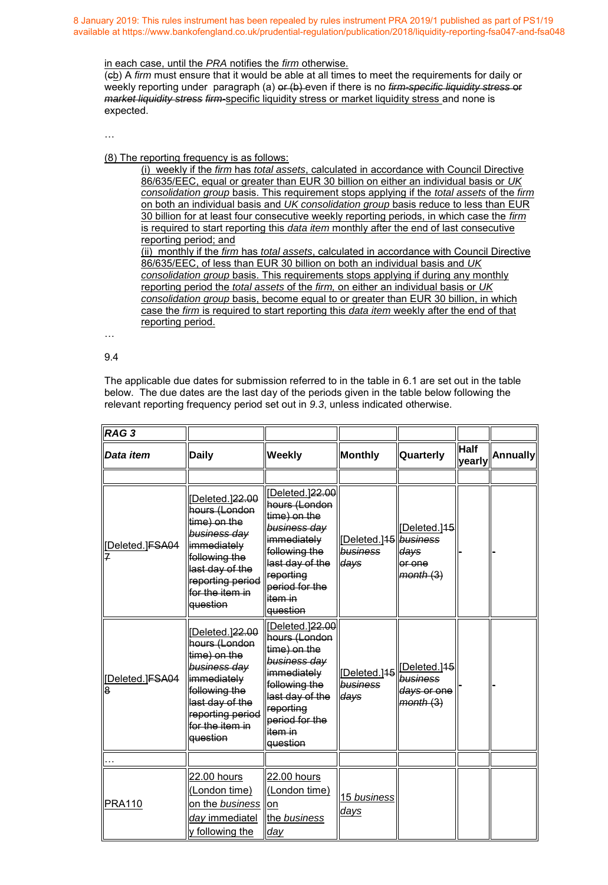#### in each case, until the *PRA* notifies the *firm* otherwise.

(cb) A *firm* must ensure that it would be able at all times to meet the requirements for daily or weekly reporting under paragraph (a) or (b) even if there is no *firm-specific liquidity stress* or *market liquidity stress firm-*specific liquidity stress or market liquidity stress and none is expected.

…

(8) The reporting frequency is as follows:

(i) weekly if the *firm* has *total assets*, calculated in accordance with Council Directive 86/635/EEC, equal or greater than EUR 30 billion on either an individual basis or *UK consolidation group* basis. This requirement stops applying if the *total assets* of the *firm*  on both an individual basis and *UK consolidation group* basis reduce to less than EUR 30 billion for at least four consecutive weekly reporting periods, in which case the *firm*  is required to start reporting this *data item* monthly after the end of last consecutive reporting period; and (ii) monthly if the *firm* has *total assets*, calculated in accordance with Council Directive

86/635/EEC, of less than EUR 30 billion on both an individual basis and *UK consolidation group* basis. This requirements stops applying if during any monthly reporting period the *total assets* of the *firm,* on either an individual basis or *UK consolidation group* basis, become equal to or greater than EUR 30 billion, in which case the *firm* is required to start reporting this *data item* weekly after the end of that reporting period.

…

9.4

The applicable due dates for submission referred to in the table in 6.1 are set out in the table below. The due dates are the last day of the periods given in the table below following the relevant reporting frequency period set out in *9.3*, unless indicated otherwise.

| RAG <sub>3</sub>    |                                                                                                                                                                        |                                                                                                                                                                                         |                                                       |                                                                 |                       |                 |
|---------------------|------------------------------------------------------------------------------------------------------------------------------------------------------------------------|-----------------------------------------------------------------------------------------------------------------------------------------------------------------------------------------|-------------------------------------------------------|-----------------------------------------------------------------|-----------------------|-----------------|
| Data item           | <b>Daily</b>                                                                                                                                                           | <b>Weekly</b>                                                                                                                                                                           | Monthly                                               | Quarterly                                                       | <b>Half</b><br>yearly | <b>Annually</b> |
|                     |                                                                                                                                                                        |                                                                                                                                                                                         |                                                       |                                                                 |                       |                 |
| [Deleted.]FSA04     | Deleted.]22.00<br>hours (London<br>time) on the<br>business day<br>immediately<br>following the<br>last day of the<br>reporting period<br>for the item in<br>lguestion | [Deleted.]22.00<br>hours (London<br>time) on the<br>business day<br>immediately<br>following the<br>last day of the<br>reporting<br>period for the<br>item in<br>l <del>question</del>  | [Deleted.] <sup>15</sup> business<br>business<br>days | [Deleted.145]<br>days<br>or one<br>month(3)                     |                       |                 |
| Deleted.]FSA04<br>8 | Deleted.]22.00<br>hours (London<br>time) on the<br>business day<br>immediately<br>following the<br>last day of the<br>reporting period<br>for the item in<br>question  | [Deleted.] 22.00<br>hours (London<br>time) on the<br>business day<br>immediately<br>following the<br>last day of the<br>reporting<br>period for the<br>item in<br>l <del>question</del> | [Deleted.]45<br>business<br>days                      | [Deleted.] <sup>15</sup><br>business<br>days or one<br>month(3) |                       |                 |
|                     |                                                                                                                                                                        |                                                                                                                                                                                         |                                                       |                                                                 |                       |                 |
| <b>PRA110</b>       | 22.00 hours<br>(London time)<br>on the business on<br>day immediatel<br>y following the                                                                                | 22.00 hours<br>(London time)<br>the business<br>day                                                                                                                                     | 15 business<br><u>days</u>                            |                                                                 |                       |                 |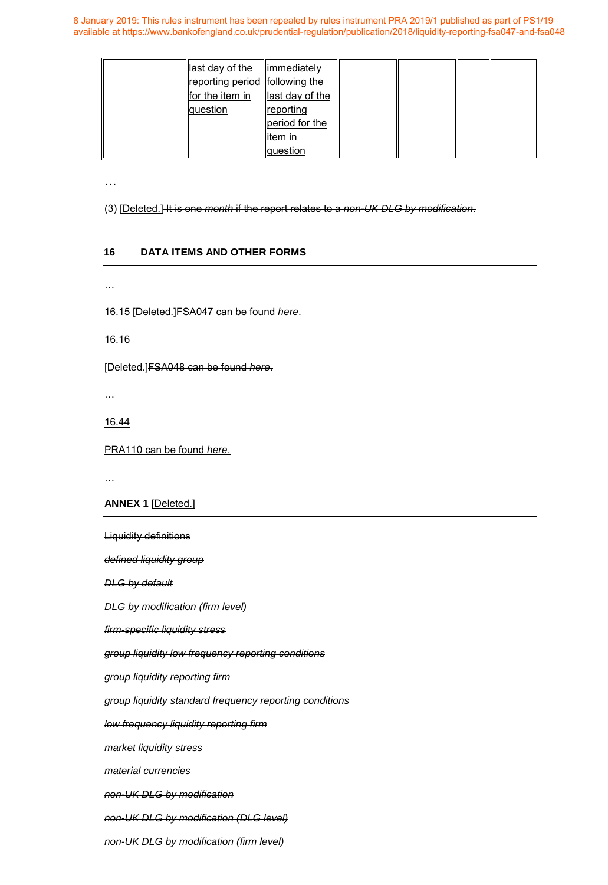| $\parallel$ last day of the $\parallel$ immediately<br>reporting period   following the<br>for the item in<br>question | $\parallel$ ast day of the<br><b>reporting</b><br>period for the |  |  |
|------------------------------------------------------------------------------------------------------------------------|------------------------------------------------------------------|--|--|
|                                                                                                                        | llitem in<br>question                                            |  |  |

…

(3) [Deleted.] It is one *month* if the report relates to a *non-UK DLG by modification*.

# **16 DATA ITEMS AND OTHER FORMS**

…

16.15 [Deleted.]FSA047 can be found *here*.

16.16

[Deleted.]FSA048 can be found *here*.

…

16.44

PRA110 can be found *here*.

…

**ANNEX 1** [Deleted.]

Liquidity definitions

*defined liquidity group* 

*DLG by default* 

*DLG by modification (firm level)* 

*firm-specific liquidity stress* 

*group liquidity low frequency reporting conditions* 

*group liquidity reporting firm* 

*group liquidity standard frequency reporting conditions* 

*low frequency liquidity reporting firm* 

*market liquidity stress* 

*material currencies* 

*non-UK DLG by modification* 

*non-UK DLG by modification (DLG level)* 

*non-UK DLG by modification (firm level)*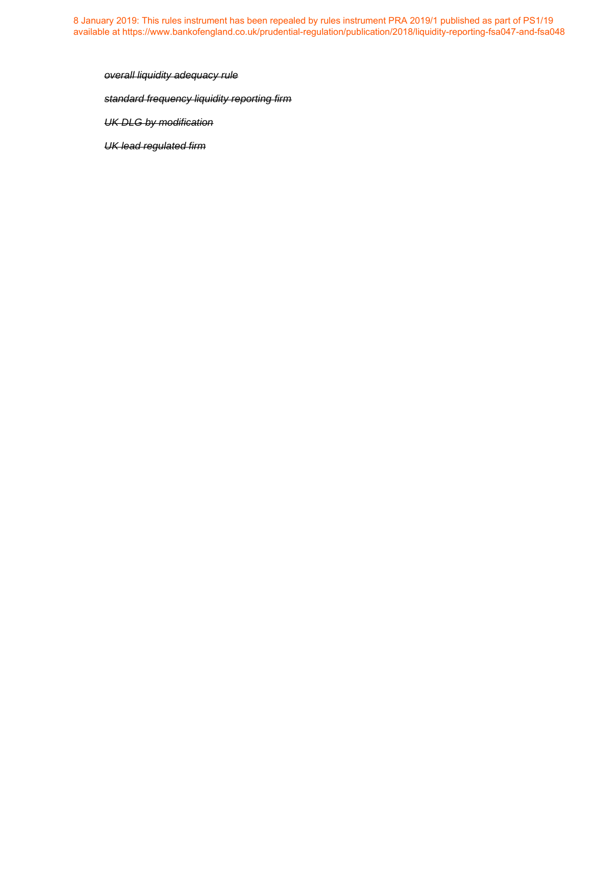*overall liquidity adequacy rule standard frequency liquidity reporting firm UK DLG by modification* 

*UK lead regulated firm*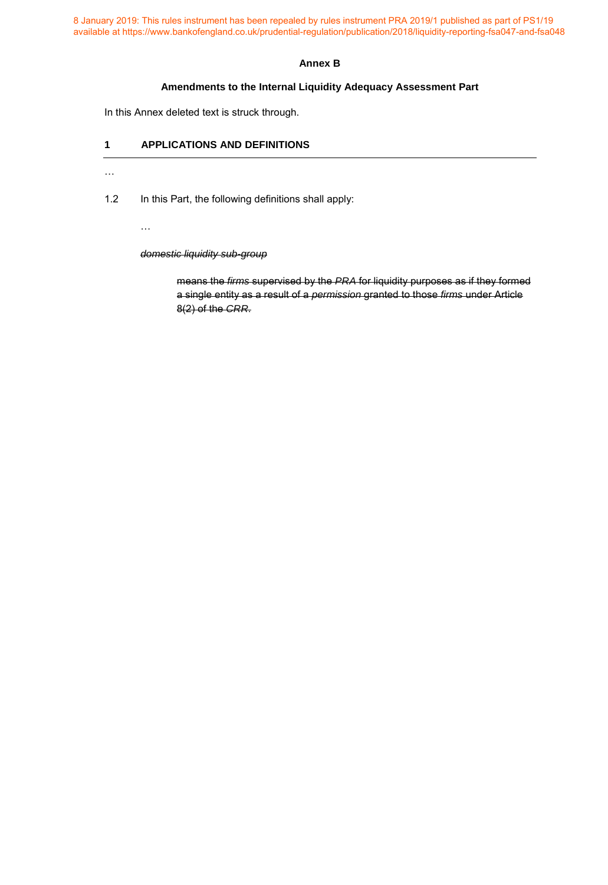## **Annex B**

# **Amendments to the Internal Liquidity Adequacy Assessment Part**

In this Annex deleted text is struck through.

# **1 APPLICATIONS AND DEFINITIONS**

 $\dots$ 

 $\dots$ 

1.2 In this Part, the following definitions shall apply:

*domestic liquidity sub-group*

means the *firms* supervised by the *PRA* for liquidity purposes as if they formed a single entity as a result of a *permission* granted to those *firms* under Article 8(2) of the *CRR*.